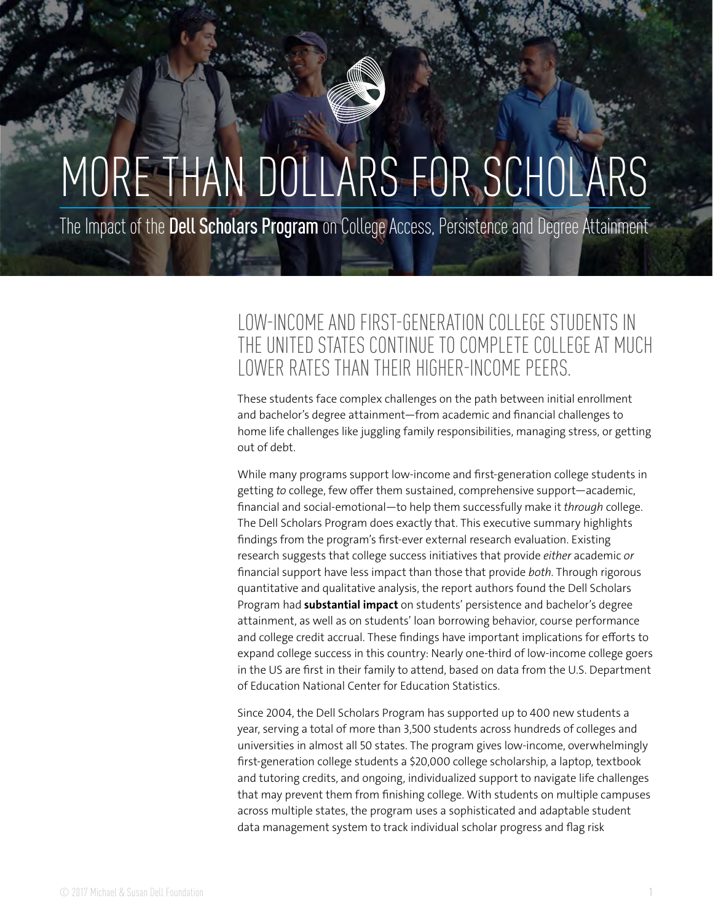# MORE THAN DOLLARS FOR SCHOLARS

The Impact of the Dell Scholars Program on College Access, Persistence and Degree Attainment

### LOW-INCOME AND FIRST-GENERATION COLLEGE STUDENTS IN THE UNITED STATES CONTINUE TO COMPLETE COLLEGE AT MUCH LOWER RATES THAN THEIR HIGHER-INCOME PEERS.

These students face complex challenges on the path between initial enrollment and bachelor's degree attainment—from academic and financial challenges to home life challenges like juggling family responsibilities, managing stress, or getting out of debt.

While many programs support low-income and first-generation college students in getting *to* college, few offer them sustained, comprehensive support—academic, financial and social-emotional—to help them successfully make it *through* college. The Dell Scholars Program does exactly that. This executive summary highlights findings from the program's first-ever external research evaluation. Existing research suggests that college success initiatives that provide *either* academic *or* financial support have less impact than those that provide *both*. Through rigorous quantitative and qualitative analysis, the report authors found the Dell Scholars Program had **substantial impact** on students' persistence and bachelor's degree attainment, as well as on students' loan borrowing behavior, course performance and college credit accrual. These findings have important implications for efforts to expand college success in this country: Nearly one-third of low-income college goers in the US are first in their family to attend, based on data from the U.S. Department of Education National Center for Education Statistics.

Since 2004, the Dell Scholars Program has supported up to 400 new students a year, serving a total of more than 3,500 students across hundreds of colleges and universities in almost all 50 states. The program gives low-income, overwhelmingly first-generation college students a \$20,000 college scholarship, a laptop, textbook and tutoring credits, and ongoing, individualized support to navigate life challenges that may prevent them from finishing college. With students on multiple campuses across multiple states, the program uses a sophisticated and adaptable student data management system to track individual scholar progress and flag risk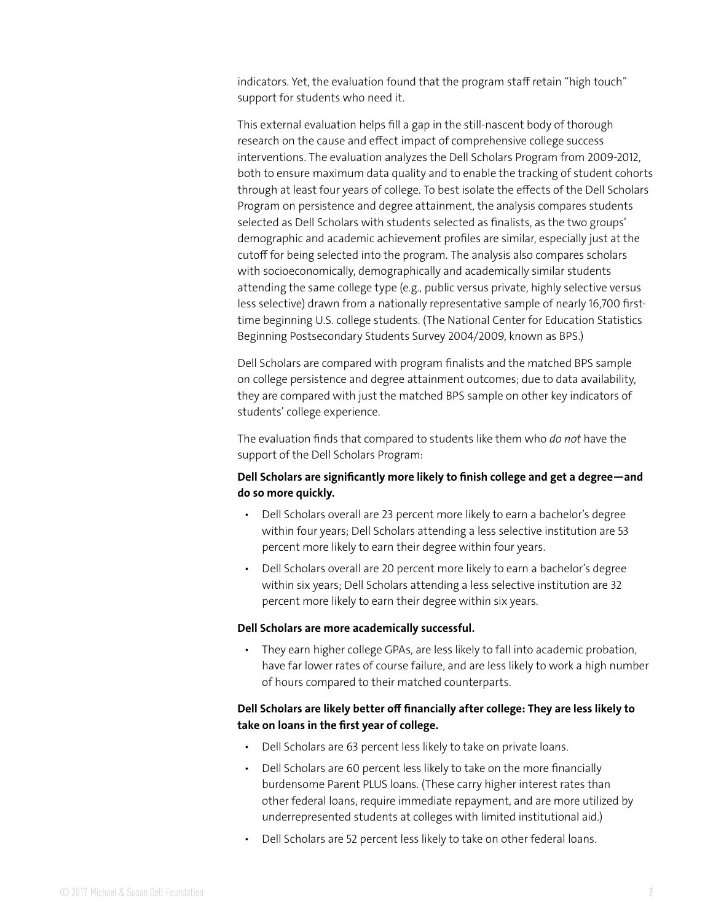indicators. Yet, the evaluation found that the program staff retain "high touch" support for students who need it.

This external evaluation helps fill a gap in the still-nascent body of thorough research on the cause and effect impact of comprehensive college success interventions. The evaluation analyzes the Dell Scholars Program from 2009-2012, both to ensure maximum data quality and to enable the tracking of student cohorts through at least four years of college. To best isolate the effects of the Dell Scholars Program on persistence and degree attainment, the analysis compares students selected as Dell Scholars with students selected as finalists, as the two groups' demographic and academic achievement profiles are similar, especially just at the cutoff for being selected into the program. The analysis also compares scholars with socioeconomically, demographically and academically similar students attending the same college type (e.g., public versus private, highly selective versus less selective) drawn from a nationally representative sample of nearly 16,700 firsttime beginning U.S. college students. (The National Center for Education Statistics Beginning Postsecondary Students Survey 2004/2009, known as BPS.)

Dell Scholars are compared with program finalists and the matched BPS sample on college persistence and degree attainment outcomes; due to data availability, they are compared with just the matched BPS sample on other key indicators of students' college experience.

The evaluation finds that compared to students like them who *do not* have the support of the Dell Scholars Program:

#### **Dell Scholars are significantly more likely to finish college and get a degree—and do so more quickly.**

- Dell Scholars overall are 23 percent more likely to earn a bachelor's degree within four years; Dell Scholars attending a less selective institution are 53 percent more likely to earn their degree within four years.
- Dell Scholars overall are 20 percent more likely to earn a bachelor's degree within six years; Dell Scholars attending a less selective institution are 32 percent more likely to earn their degree within six years.

#### **Dell Scholars are more academically successful.**

• They earn higher college GPAs, are less likely to fall into academic probation, have far lower rates of course failure, and are less likely to work a high number of hours compared to their matched counterparts.

#### **Dell Scholars are likely better off financially after college: They are less likely to take on loans in the first year of college.**

- Dell Scholars are 63 percent less likely to take on private loans.
- Dell Scholars are 60 percent less likely to take on the more financially burdensome Parent PLUS loans. (These carry higher interest rates than other federal loans, require immediate repayment, and are more utilized by underrepresented students at colleges with limited institutional aid.)
- Dell Scholars are 52 percent less likely to take on other federal loans.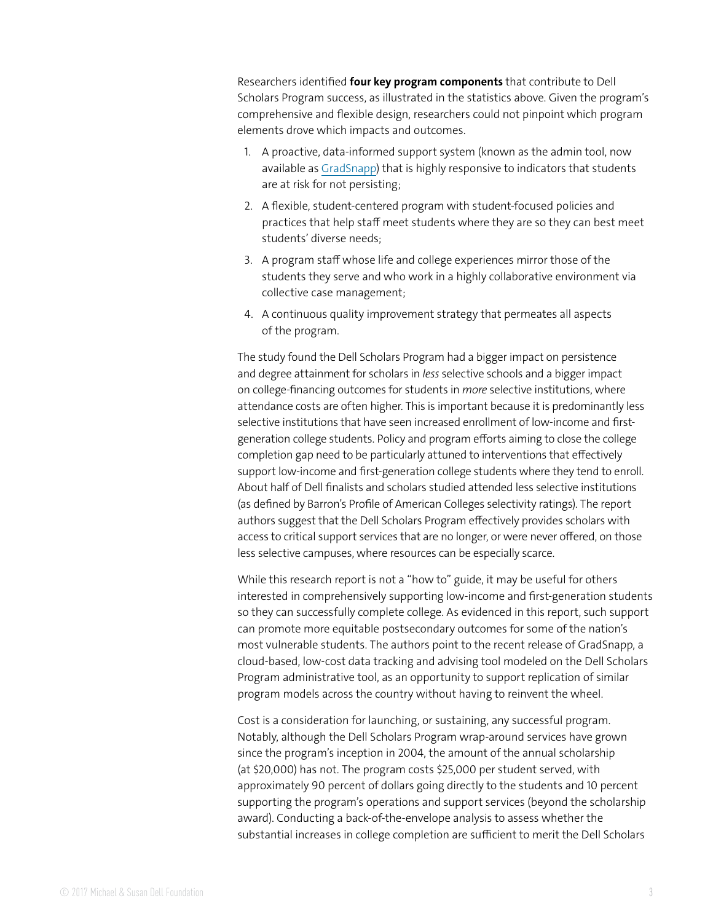Researchers identified **four key program components** that contribute to Dell Scholars Program success, as illustrated in the statistics above. Given the program's comprehensive and flexible design, researchers could not pinpoint which program elements drove which impacts and outcomes.

- 1. A proactive, data-informed support system (known as the admin tool, now available as [GradSnapp](https://www.gradsnapp.com)) that is highly responsive to indicators that students are at risk for not persisting;
- 2. A flexible, student-centered program with student-focused policies and practices that help staff meet students where they are so they can best meet students' diverse needs;
- 3. A program staff whose life and college experiences mirror those of the students they serve and who work in a highly collaborative environment via collective case management;
- 4. A continuous quality improvement strategy that permeates all aspects of the program.

The study found the Dell Scholars Program had a bigger impact on persistence and degree attainment for scholars in *less* selective schools and a bigger impact on college-financing outcomes for students in *more* selective institutions, where attendance costs are often higher. This is important because it is predominantly less selective institutions that have seen increased enrollment of low-income and firstgeneration college students. Policy and program efforts aiming to close the college completion gap need to be particularly attuned to interventions that effectively support low-income and first-generation college students where they tend to enroll. About half of Dell finalists and scholars studied attended less selective institutions (as defined by Barron's Profile of American Colleges selectivity ratings). The report authors suggest that the Dell Scholars Program effectively provides scholars with access to critical support services that are no longer, or were never offered, on those less selective campuses, where resources can be especially scarce.

While this research report is not a "how to" guide, it may be useful for others interested in comprehensively supporting low-income and first-generation students so they can successfully complete college. As evidenced in this report, such support can promote more equitable postsecondary outcomes for some of the nation's most vulnerable students. The authors point to the recent release of GradSnapp, a cloud-based, low-cost data tracking and advising tool modeled on the Dell Scholars Program administrative tool, as an opportunity to support replication of similar program models across the country without having to reinvent the wheel.

Cost is a consideration for launching, or sustaining, any successful program. Notably, although the Dell Scholars Program wrap-around services have grown since the program's inception in 2004, the amount of the annual scholarship (at \$20,000) has not. The program costs \$25,000 per student served, with approximately 90 percent of dollars going directly to the students and 10 percent supporting the program's operations and support services (beyond the scholarship award). Conducting a back-of-the-envelope analysis to assess whether the substantial increases in college completion are sufficient to merit the Dell Scholars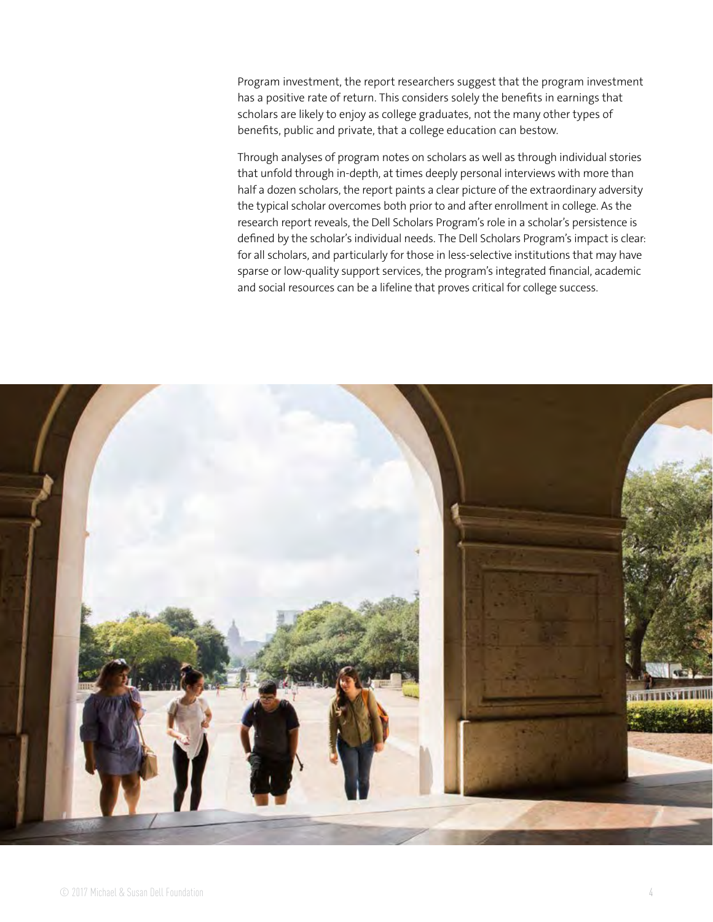Program investment, the report researchers suggest that the program investment has a positive rate of return. This considers solely the benefits in earnings that scholars are likely to enjoy as college graduates, not the many other types of benefits, public and private, that a college education can bestow.

Through analyses of program notes on scholars as well as through individual stories that unfold through in-depth, at times deeply personal interviews with more than half a dozen scholars, the report paints a clear picture of the extraordinary adversity the typical scholar overcomes both prior to and after enrollment in college. As the research report reveals, the Dell Scholars Program's role in a scholar's persistence is defined by the scholar's individual needs. The Dell Scholars Program's impact is clear: for all scholars, and particularly for those in less-selective institutions that may have sparse or low-quality support services, the program's integrated financial, academic and social resources can be a lifeline that proves critical for college success.